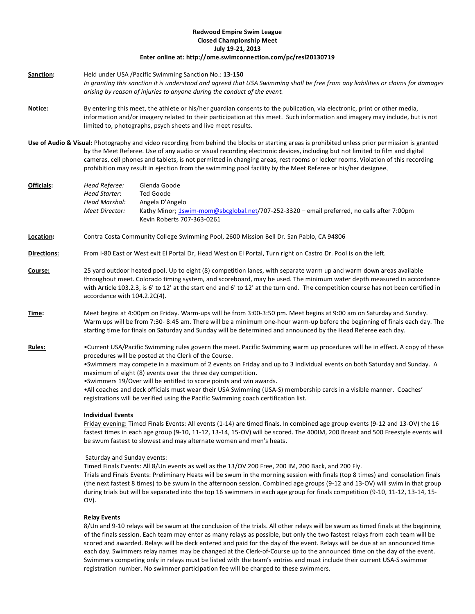# **Redwood Empire Swim League Closed Championship Meet July 19-21, 2013**

## **Enter online at: http://ome.swimconnection.com/pc/resl20130719**

- **Sanction:** Held under USA /Pacific Swimming Sanction No.: **13-150** *In granting this sanction it is understood and agreed that USA Swimming shall be free from any liabilities or claims for damages arising by reason of injuries to anyone during the conduct of the event.*
- **Notice:** By entering this meet, the athlete or his/her guardian consents to the publication, via electronic, print or other media, information and/or imagery related to their participation at this meet. Such information and imagery may include, but is not limited to, photographs, psych sheets and live meet results.
- **Use of Audio & Visual:** Photography and video recording from behind the blocks or starting areas is prohibited unless prior permission is granted by the Meet Referee. Use of any audio or visual recording electronic devices, including but not limited to film and digital cameras, cell phones and tablets, is not permitted in changing areas, rest rooms or locker rooms. Violation of this recording prohibition may result in ejection from the swimming pool facility by the Meet Referee or his/her designee.
- **Officials:** *Head Referee:* Glenda Goode *Head Starter*: Ted Goode *Head Marshal:* Angela D'Angelo *Meet Director:* Kathy Minor[; 1swim-mom@sbcglobal.net/](mailto:1swim-mom@sbcglobal.net)707-252-3320 – email preferred, no calls after 7:00pm Kevin Roberts 707-363-0261
- **Location:** Contra Costa Community College Swimming Pool, 2600 Mission Bell Dr. San Pablo, CA 94806
- **Directions:** From I-80 East or West exit El Portal Dr, Head West on El Portal, Turn right on Castro Dr. Pool is on the left.
- **Course:** 25 yard outdoor heated pool. Up to eight (8) competition lanes, with separate warm up and warm down areas available throughout meet. Colorado timing system, and scoreboard, may be used. The minimum water depth measured in accordance with Article 103.2.3, is 6' to 12' at the start end and 6' to 12' at the turn end. The competition course has not been certified in accordance with 104.2.2C(4).
- **Time:** Meet begins at 4:00pm on Friday. Warm-ups will be from 3:00-3:50 pm. Meet begins at 9:00 am on Saturday and Sunday. Warm ups will be from 7:30- 8:45 am. There will be a minimum one-hour warm-up before the beginning of finals each day. The starting time for finals on Saturday and Sunday will be determined and announced by the Head Referee each day.
- **Rules:** •Current USA/Pacific Swimming rules govern the meet. Pacific Swimming warm up procedures will be in effect. A copy of these procedures will be posted at the Clerk of the Course.
	- •Swimmers may compete in a maximum of 2 events on Friday and up to 3 individual events on both Saturday and Sunday. A maximum of eight (8) events over the three day competition.
	- •Swimmers 19/Over will be entitled to score points and win awards.
	- •All coaches and deck officials must wear their USA Swimming (USA-S) membership cards in a visible manner. Coaches' registrations will be verified using the Pacific Swimming coach certification list.

## **Individual Events**

Friday evening: Timed Finals Events: All events (1-14) are timed finals. In combined age group events (9-12 and 13-OV) the 16 fastest times in each age group (9-10, 11-12, 13-14, 15-OV) will be scored. The 400IM, 200 Breast and 500 Freestyle events will be swum fastest to slowest and may alternate women and men's heats.

#### Saturday and Sunday events:

Timed Finals Events: All 8/Un events as well as the 13/OV 200 Free, 200 IM, 200 Back, and 200 Fly.

Trials and Finals Events: Preliminary Heats will be swum in the morning session with finals (top 8 times) and consolation finals (the next fastest 8 times) to be swum in the afternoon session. Combined age groups (9-12 and 13-OV) will swim in that group during trials but will be separated into the top 16 swimmers in each age group for finals competition (9-10, 11-12, 13-14, 15- OV).

#### **Relay Events**

8/Un and 9-10 relays will be swum at the conclusion of the trials. All other relays will be swum as timed finals at the beginning of the finals session. Each team may enter as many relays as possible, but only the two fastest relays from each team will be scored and awarded. Relays will be deck entered and paid for the day of the event. Relays will be due at an announced time each day. Swimmers relay names may be changed at the Clerk-of-Course up to the announced time on the day of the event. Swimmers competing only in relays must be listed with the team's entries and must include their current USA-S swimmer registration number. No swimmer participation fee will be charged to these swimmers.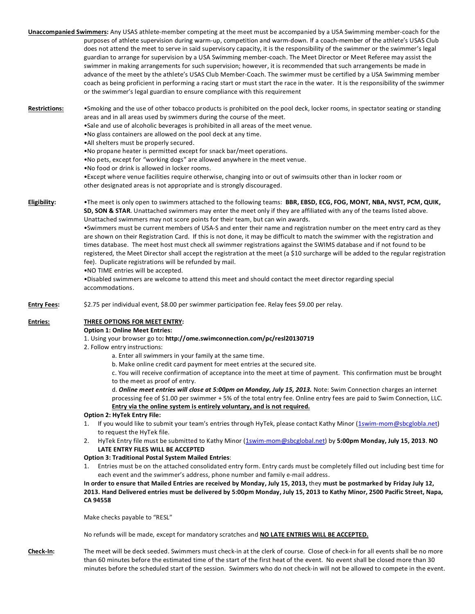**Unaccompanied Swimmers:** Any USAS athlete-member competing at the meet must be accompanied by a USA Swimming member-coach for the purposes of athlete supervision during warm-up, competition and warm-down. If a coach-member of the athlete's USAS Club does not attend the meet to serve in said supervisory capacity, it is the responsibility of the swimmer or the swimmer's legal guardian to arrange for supervision by a USA Swimming member-coach. The Meet Director or Meet Referee may assist the swimmer in making arrangements for such supervision; however, it is recommended that such arrangements be made in advance of the meet by the athlete's USAS Club Member-Coach. The swimmer must be certified by a USA Swimming member coach as being proficient in performing a racing start or must start the race in the water. It is the responsibility of the swimmer or the swimmer's legal guardian to ensure compliance with this requirement

**Restrictions:** •Smoking and the use of other tobacco products is prohibited on the pool deck, locker rooms, in spectator seating or standing areas and in all areas used by swimmers during the course of the meet.

•Sale and use of alcoholic beverages is prohibited in all areas of the meet venue.

•No glass containers are allowed on the pool deck at any time.

•All shelters must be properly secured.

•No propane heater is permitted except for snack bar/meet operations.

•No pets, except for "working dogs" are allowed anywhere in the meet venue.

•No food or drink is allowed in locker rooms.

•Except where venue facilities require otherwise, changing into or out of swimsuits other than in locker room or other designated areas is not appropriate and is strongly discouraged.

**Eligibility:** •The meet is only open to swimmers attached to the following teams: **BBR, EBSD, ECG, FOG, MONT, NBA, NVST, PCM, QUIK, SD, SON & STAR**. Unattached swimmers may enter the meet only if they are affiliated with any of the teams listed above. Unattached swimmers may not score points for their team, but can win awards.

> •Swimmers must be current members of USA-S and enter their name and registration number on the meet entry card as they are shown on their Registration Card. If this is not done, it may be difficult to match the swimmer with the registration and times database. The meet host must check all swimmer registrations against the SWIMS database and if not found to be registered, the Meet Director shall accept the registration at the meet (a \$10 surcharge will be added to the regular registration fee). Duplicate registrations will be refunded by mail.

•NO TIME entries will be accepted.

•Disabled swimmers are welcome to attend this meet and should contact the meet director regarding special accommodations.

**Entry Fees:** \$2.75 per individual event, \$8.00 per swimmer participation fee. Relay fees \$9.00 per relay.

# **Entries: THREE OPTIONS FOR MEET ENTRY:**

**Option 1: Online Meet Entries:**

- 1. Using your browser go to**: http://ome.swimconnection.com/pc/resl20130719**
- 2. Follow entry instructions:
	- a. Enter all swimmers in your family at the same time.
	- b. Make online credit card payment for meet entries at the secured site.

c. You will receive confirmation of acceptance into the meet at time of payment. This confirmation must be brought to the meet as proof of entry.

d. *Online meet entries will close at 5:00pm on Monday, July 15, 2013.* Note: Swim Connection charges an internet processing fee of \$1.00 per swimmer + 5% of the total entry fee. Online entry fees are paid to Swim Connection, LLC. **Entry via the online system is entirely voluntary, and is not required.** 

#### **Option 2: HyTek Entry File:**

- 1. If you would like to submit your team's entries through HyTek, please contact Kathy Minor [\(1swim-mom@sbcglobla.net\)](mailto:1swim-mom@sbcglobla.net) to request the HyTek file.
- 2. HyTek Entry file must be submitted to Kathy Minor [\(1swim-mom@sbcglobal.net\)](mailto:1swim-mom@sbcglobal.net) by **5:00pm Monday, July 15, 2013**. **NO LATE ENTRY FILES WILL BE ACCEPTED**

# **Option 3: Traditional Postal System Mailed Entries**:

1. Entries must be on the attached consolidated entry form. Entry cards must be completely filled out including best time for each event and the swimmer's address, phone number and family e-mail address.

# **In order to ensure that Mailed Entries are received by Monday, July 15, 2013,** they **must be postmarked by Friday July 12, 2013. Hand Delivered entries must be delivered by 5:00pm Monday, July 15, 2013 to Kathy Minor, 2500 Pacific Street, Napa, CA 94558**

Make checks payable to "RESL"

No refunds will be made, except for mandatory scratches and **NO LATE ENTRIES WILL BE ACCEPTED.**

**Check-In:** The meet will be deck seeded. Swimmers must check-in at the clerk of course. Close of check-in for all events shall be no more than 60 minutes before the estimated time of the start of the first heat of the event. No event shall be closed more than 30 minutes before the scheduled start of the session. Swimmers who do not check-in will not be allowed to compete in the event.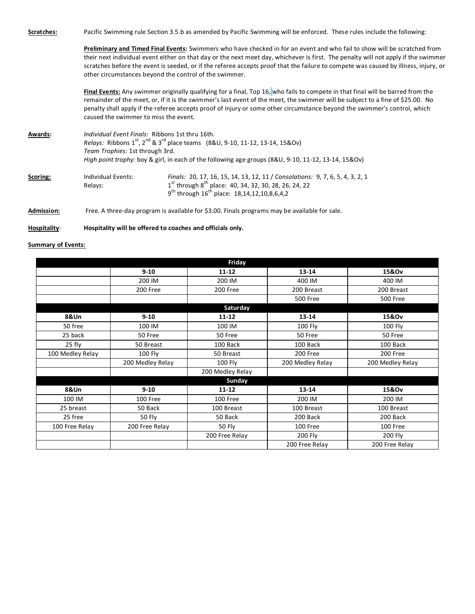**Scratches:** Pacific Swimming rule Section 3.5.b as amended by Pacific Swimming will be enforced. These rules include the following:

**Preliminary and Timed Final Events:** Swimmers who have checked in for an event and who fail to show will be scratched from their next individual event either on that day or the next meet day, whichever is first. The penalty will not apply if the swimmer scratches before the event is seeded, or if the referee accepts proof that the failure to compete was caused by illness, injury, or other circumstances beyond the control of the swimmer.

**Final Events:** Any swimmer originally qualifying for a final, Top 16, who fails to compete in that final will be barred from the remainder of the meet, or, if it is the swimmer's last event of the meet, the swimmer will be subject to a fine of \$25.00. No penalty shall apply if the referee accepts proof of injury or some other circumstance beyond the swimmer's control, which caused the swimmer to miss the event.

**Awards:** *Individual Event Finals:* Ribbons 1st thru 16th. *Relays:* Ribbons 1<sup>st</sup>, 2<sup>nd</sup> & 3<sup>rd</sup> place teams (8&U, 9-10, 11-12, 13-14, 15&Ov) *Team Trophies:* 1st through 3rd. *High point trophy:* boy & girl, in each of the following age groups (8&U, 9-10, 11-12, 13-14, 15&Ov) **Scoring:** Individual Events: *Finals:* 20, 17, 16, 15, 14, 13, 12, 11 / *Consolations:* 9, 7, 6, 5, 4, 3, 2, 1 Relays:  $^{\text{st}}$  through  $8^{\text{th}}$  place: 40, 34, 32, 30, 28, 26, 24, 22  $9^{th}$  through 16<sup>th</sup> place: 18,14,12,10,8,6,4,2

**Admission:** Free. A three-day program is available for \$3.00. Finals programs may be available for sale.

## **Hospitality**: **Hospitality will be offered to coaches and officials only.**

## **Summary of Events:**

|                  |                  | Friday           |                                    |                  |  |  |
|------------------|------------------|------------------|------------------------------------|------------------|--|--|
|                  | $9 - 10$         | 11-12            | 13-14                              | 15&Ov            |  |  |
|                  | 200 IM           | 200 IM           | 400 IM                             | 400 IM           |  |  |
|                  | 200 Free         | 200 Free         | 200 Breast                         | 200 Breast       |  |  |
|                  |                  |                  | <b>500 Free</b><br><b>500 Free</b> |                  |  |  |
| Saturday         |                  |                  |                                    |                  |  |  |
| 8&Un             | $9 - 10$         | 11-12            | $13 - 14$                          | 15&Ov            |  |  |
| 50 free          | 100 IM           | 100 IM           | 100 Fly                            | 100 Fly          |  |  |
| 25 back          | 50 Free          | 50 Free          | 50 Free                            | 50 Free          |  |  |
| 25 fly           | 50 Breast        | 100 Back         | 100 Back                           | 100 Back         |  |  |
| 100 Medley Relay | 100 Fly          | 50 Breast        | 200 Free                           | 200 Free         |  |  |
|                  | 200 Medley Relay | $100$ Fly        | 200 Medley Relay                   | 200 Medley Relay |  |  |
|                  |                  | 200 Medley Relay |                                    |                  |  |  |
| Sunday           |                  |                  |                                    |                  |  |  |
| 8&Un             | $9 - 10$         | $11 - 12$        | 13-14                              | 15&Ov            |  |  |
| 100 IM           | 100 Free         | 100 Free         | 200 IM                             | 200 IM           |  |  |
| 25 breast        | 50 Back          | 100 Breast       | 100 Breast                         | 100 Breast       |  |  |
| 25 free          | 50 Fly           | 50 Back          | 200 Back                           | 200 Back         |  |  |
| 100 Free Relay   | 200 Free Relay   | 50 Fly           | 100 Free<br>100 Free               |                  |  |  |
|                  |                  | 200 Free Relay   | 200 Fly                            | 200 Fly          |  |  |
|                  |                  |                  | 200 Free Relay                     | 200 Free Relay   |  |  |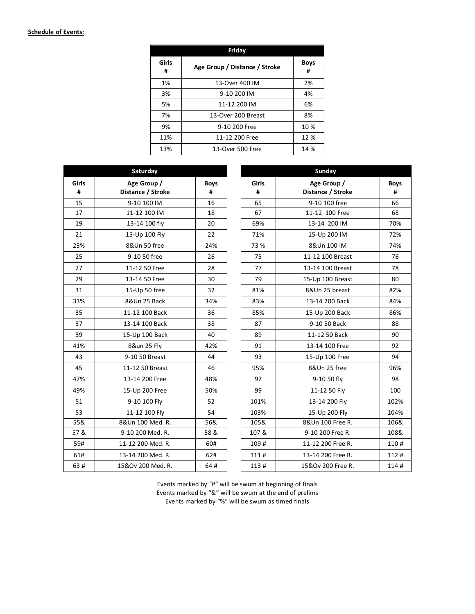# **Schedule of Events:**

| Friday     |                               |                  |  |  |  |
|------------|-------------------------------|------------------|--|--|--|
| Girls<br># | Age Group / Distance / Stroke | <b>Boys</b><br># |  |  |  |
| 1%         | 13-Over 400 IM                | 2%               |  |  |  |
| 3%         | 9-10 200 IM                   | 4%               |  |  |  |
| 5%         | 11-12 200 IM                  | 6%               |  |  |  |
| 7%         | 13-Over 200 Breast            | 8%               |  |  |  |
| 9%         | 9-10 200 Free                 | 10 %             |  |  |  |
| 11%        | 11-12 200 Free                | 12 %             |  |  |  |
| 13%        | 13-Over 500 Free              | 14 %             |  |  |  |

| Saturday     |                   |             | Sunday |              |                   |             |
|--------------|-------------------|-------------|--------|--------------|-------------------|-------------|
| <b>Girls</b> | Age Group /       | <b>Boys</b> |        | <b>Girls</b> | Age Group /       | <b>Boys</b> |
| #            | Distance / Stroke | #           |        | #            | Distance / Stroke | #           |
| 15           | 9-10 100 IM       | 16          |        | 65           | 9-10 100 free     | 66          |
| 17           | 11-12 100 IM      | 18          |        | 67           | 11-12 100 Free    | 68          |
| 19           | 13-14 100 fly     | 20          |        | 69%          | 13-14 200 IM      | 70%         |
| 21           | 15-Up 100 Fly     | 22          |        | 71%          | 15-Up 200 IM      | 72%         |
| 23%          | 8&Un 50 free      | 24%         |        | 73 %         | 8&Un 100 IM       | 74%         |
| 25           | 9-10 50 free      | 26          |        | 75           | 11-12 100 Breast  | 76          |
| 27           | 11-12 50 Free     | 28          |        | 77           | 13-14 100 Breast  | 78          |
| 29           | 13-14 50 Free     | 30          |        | 79           | 15-Up 100 Breast  | 80          |
| 31           | 15-Up 50 free     | 32          |        | 81%          | 8&Un 25 breast    | 82%         |
| 33%          | 8&Un 25 Back      | 34%         |        | 83%          | 13-14 200 Back    | 84%         |
| 35           | 11-12 100 Back    | 36          |        | 85%          | 15-Up 200 Back    | 86%         |
| 37           | 13-14 100 Back    | 38          |        | 87           | 9-10 50 Back      | 88          |
| 39           | 15-Up 100 Back    | 40          |        | 89           | 11-12 50 Back     | 90          |
| 41%          | 8&un 25 Fly       | 42%         |        | 91           | 13-14 100 Free    | 92          |
| 43           | 9-10 50 Breast    | 44          |        | 93           | 15-Up 100 Free    | 94          |
| 45           | 11-12 50 Breast   | 46          |        | 95%          | 8&Un 25 free      | 96%         |
| 47%          | 13-14 200 Free    | 48%         |        | 97           | 9-10 50 fly       | 98          |
| 49%          | 15-Up 200 Free    | 50%         |        | 99           | 11-12 50 Fly      | 100         |
| 51           | 9-10 100 Fly      | 52          |        | 101%         | 13-14 200 Fly     | 102%        |
| 53           | 11-12 100 Fly     | 54          |        | 103%         | 15-Up 200 Fly     | 104%        |
| 55&          | 8&Un 100 Med. R.  | 56&         |        | 105&         | 8&Un 100 Free R.  | 106&        |
| 57 &         | 9-10 200 Med. R.  | 58 &        |        | 107 &        | 9-10 200 Free R.  | 108&        |
| 59#          | 11-12 200 Med. R. | 60#         |        | 109#         | 11-12 200 Free R. | 110#        |
| 61#          | 13-14 200 Med. R. | 62#         |        | 111#         | 13-14 200 Free R. | 112#        |
| 63#          | 15&Ov 200 Med. R. | 64#         |        | 113#         | 15&Ov 200 Free R. | 114#        |

Events marked by "#" will be swum at beginning of finals Events marked by "&" will be swum at the end of prelims Events marked by "%" will be swum as timed finals